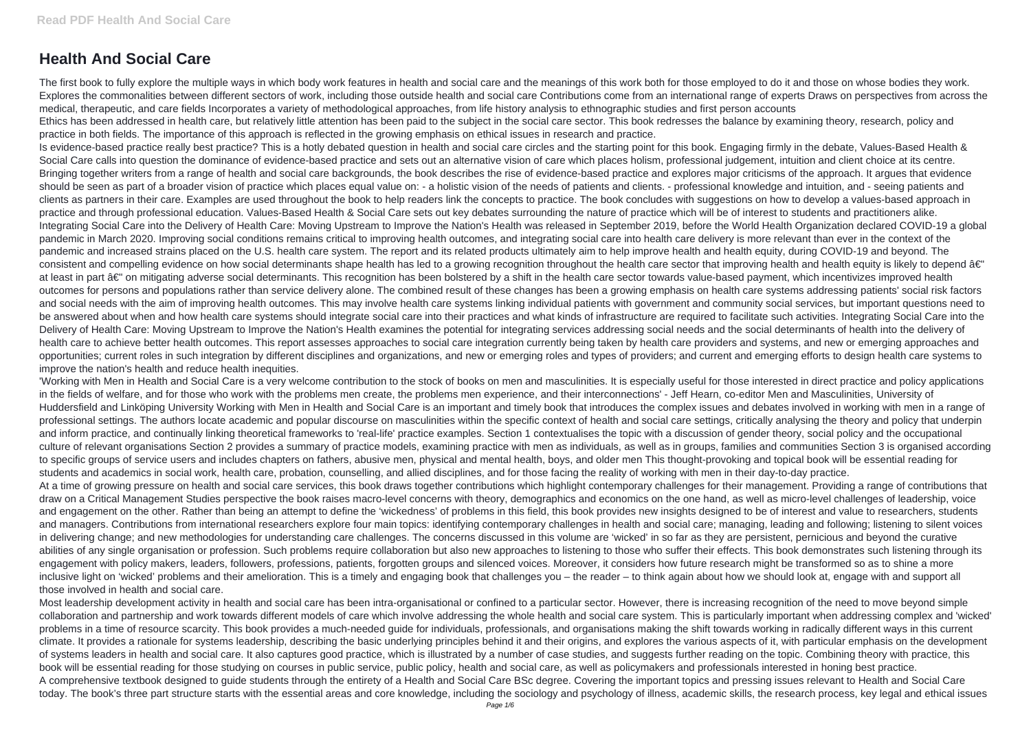## **Health And Social Care**

The first book to fully explore the multiple ways in which body work features in health and social care and the meanings of this work both for those employed to do it and those on whose bodies they work. Explores the commonalities between different sectors of work, including those outside health and social care Contributions come from an international range of experts Draws on perspectives from across the medical, therapeutic, and care fields Incorporates a variety of methodological approaches, from life history analysis to ethnographic studies and first person accounts Ethics has been addressed in health care, but relatively little attention has been paid to the subject in the social care sector. This book redresses the balance by examining theory, research, policy and practice in both fields. The importance of this approach is reflected in the growing emphasis on ethical issues in research and practice.

Is evidence-based practice really best practice? This is a hotly debated question in health and social care circles and the starting point for this book. Engaging firmly in the debate, Values-Based Health & Social Care calls into question the dominance of evidence-based practice and sets out an alternative vision of care which places holism, professional judgement, intuition and client choice at its centre. Bringing together writers from a range of health and social care backgrounds, the book describes the rise of evidence-based practice and explores major criticisms of the approach. It argues that evidence should be seen as part of a broader vision of practice which places equal value on: - a holistic vision of the needs of patients and clients. - professional knowledge and intuition, and - seeing patients and clients as partners in their care. Examples are used throughout the book to help readers link the concepts to practice. The book concludes with suggestions on how to develop a values-based approach in practice and through professional education. Values-Based Health & Social Care sets out key debates surrounding the nature of practice which will be of interest to students and practitioners alike. Integrating Social Care into the Delivery of Health Care: Moving Upstream to Improve the Nation's Health was released in September 2019, before the World Health Organization declared COVID-19 a global pandemic in March 2020. Improving social conditions remains critical to improving health outcomes, and integrating social care into health care delivery is more relevant than ever in the context of the pandemic and increased strains placed on the U.S. health care system. The report and its related products ultimately aim to help improve health and health equity, during COVID-19 and beyond. The consistent and compelling evidence on how social determinants shape health has led to a growing recognition throughout the health care sector that improving health and health equity is likely to depend â€" at least in part â€" on mitigating adverse social determinants. This recognition has been bolstered by a shift in the health care sector towards value-based payment, which incentivizes improved health outcomes for persons and populations rather than service delivery alone. The combined result of these changes has been a growing emphasis on health care systems addressing patients' social risk factors and social needs with the aim of improving health outcomes. This may involve health care systems linking individual patients with government and community social services, but important questions need to be answered about when and how health care systems should integrate social care into their practices and what kinds of infrastructure are required to facilitate such activities. Integrating Social Care into the Delivery of Health Care: Moving Upstream to Improve the Nation's Health examines the potential for integrating services addressing social needs and the social determinants of health into the delivery of health care to achieve better health outcomes. This report assesses approaches to social care integration currently being taken by health care providers and systems, and new or emerging approaches and opportunities; current roles in such integration by different disciplines and organizations, and new or emerging roles and types of providers; and current and emerging efforts to design health care systems to improve the nation's health and reduce health inequities.

Most leadership development activity in health and social care has been intra-organisational or confined to a particular sector. However, there is increasing recognition of the need to move beyond simple collaboration and partnership and work towards different models of care which involve addressing the whole health and social care system. This is particularly important when addressing complex and 'wicked' problems in a time of resource scarcity. This book provides a much-needed guide for individuals, professionals, and organisations making the shift towards working in radically different ways in this current climate. It provides a rationale for systems leadership, describing the basic underlying principles behind it and their origins, and explores the various aspects of it, with particular emphasis on the development of systems leaders in health and social care. It also captures good practice, which is illustrated by a number of case studies, and suggests further reading on the topic. Combining theory with practice, this book will be essential reading for those studying on courses in public service, public policy, health and social care, as well as policymakers and professionals interested in honing best practice. A comprehensive textbook designed to guide students through the entirety of a Health and Social Care BSc degree. Covering the important topics and pressing issues relevant to Health and Social Care today. The book's three part structure starts with the essential areas and core knowledge, including the sociology and psychology of illness, academic skills, the research process, key legal and ethical issues

'Working with Men in Health and Social Care is a very welcome contribution to the stock of books on men and masculinities. It is especially useful for those interested in direct practice and policy applications in the fields of welfare, and for those who work with the problems men create, the problems men experience, and their interconnections' - Jeff Hearn, co-editor Men and Masculinities, University of Huddersfield and Linköping University Working with Men in Health and Social Care is an important and timely book that introduces the complex issues and debates involved in working with men in a range of professional settings. The authors locate academic and popular discourse on masculinities within the specific context of health and social care settings, critically analysing the theory and policy that underpin and inform practice, and continually linking theoretical frameworks to 'real-life' practice examples. Section 1 contextualises the topic with a discussion of gender theory, social policy and the occupational culture of relevant organisations Section 2 provides a summary of practice models, examining practice with men as individuals, as well as in groups, families and communities Section 3 is organised according to specific groups of service users and includes chapters on fathers, abusive men, physical and mental health, boys, and older men This thought-provoking and topical book will be essential reading for students and academics in social work, health care, probation, counselling, and allied disciplines, and for those facing the reality of working with men in their day-to-day practice. At a time of growing pressure on health and social care services, this book draws together contributions which highlight contemporary challenges for their management. Providing a range of contributions that draw on a Critical Management Studies perspective the book raises macro-level concerns with theory, demographics and economics on the one hand, as well as micro-level challenges of leadership, voice and engagement on the other. Rather than being an attempt to define the 'wickedness' of problems in this field, this book provides new insights designed to be of interest and value to researchers, students and managers. Contributions from international researchers explore four main topics: identifying contemporary challenges in health and social care; managing, leading and following; listening to silent voices in delivering change; and new methodologies for understanding care challenges. The concerns discussed in this volume are 'wicked' in so far as they are persistent, pernicious and beyond the curative abilities of any single organisation or profession. Such problems require collaboration but also new approaches to listening to those who suffer their effects. This book demonstrates such listening through its engagement with policy makers, leaders, followers, professions, patients, forgotten groups and silenced voices. Moreover, it considers how future research might be transformed so as to shine a more inclusive light on 'wicked' problems and their amelioration. This is a timely and engaging book that challenges you – the reader – to think again about how we should look at, engage with and support all those involved in health and social care.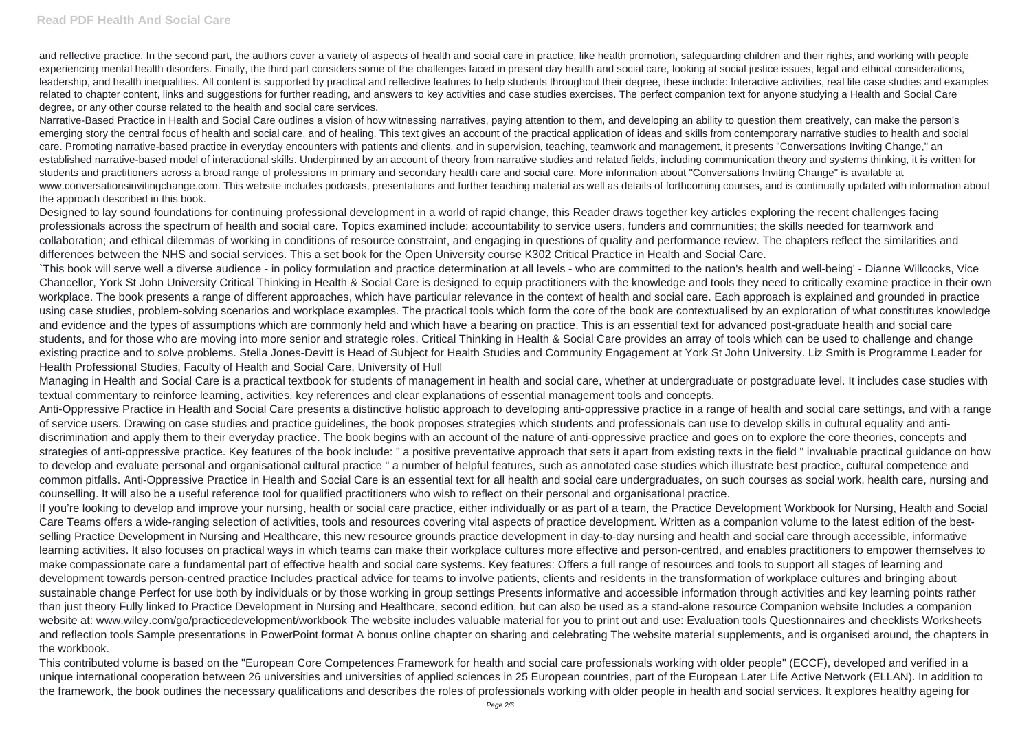and reflective practice. In the second part, the authors cover a variety of aspects of health and social care in practice, like health promotion, safeguarding children and their rights, and working with people experiencing mental health disorders. Finally, the third part considers some of the challenges faced in present day health and social care, looking at social justice issues, legal and ethical considerations, leadership, and health inequalities. All content is supported by practical and reflective features to help students throughout their degree, these include: Interactive activities, real life case studies and examples related to chapter content, links and suggestions for further reading, and answers to key activities and case studies exercises. The perfect companion text for anyone studying a Health and Social Care degree, or any other course related to the health and social care services.

Narrative-Based Practice in Health and Social Care outlines a vision of how witnessing narratives, paying attention to them, and developing an ability to question them creatively, can make the person's emerging story the central focus of health and social care, and of healing. This text gives an account of the practical application of ideas and skills from contemporary narrative studies to health and social care. Promoting narrative-based practice in everyday encounters with patients and clients, and in supervision, teaching, teamwork and management, it presents "Conversations Inviting Change," an established narrative-based model of interactional skills. Underpinned by an account of theory from narrative studies and related fields, including communication theory and systems thinking, it is written for students and practitioners across a broad range of professions in primary and secondary health care and social care. More information about "Conversations Inviting Change" is available at www.conversationsinvitingchange.com. This website includes podcasts, presentations and further teaching material as well as details of forthcoming courses, and is continually updated with information about the approach described in this book.

Designed to lay sound foundations for continuing professional development in a world of rapid change, this Reader draws together key articles exploring the recent challenges facing professionals across the spectrum of health and social care. Topics examined include: accountability to service users, funders and communities; the skills needed for teamwork and collaboration; and ethical dilemmas of working in conditions of resource constraint, and engaging in questions of quality and performance review. The chapters reflect the similarities and differences between the NHS and social services. This a set book for the Open University course K302 Critical Practice in Health and Social Care. `This book will serve well a diverse audience - in policy formulation and practice determination at all levels - who are committed to the nation's health and well-being' - Dianne Willcocks, Vice Chancellor, York St John University Critical Thinking in Health & Social Care is designed to equip practitioners with the knowledge and tools they need to critically examine practice in their own workplace. The book presents a range of different approaches, which have particular relevance in the context of health and social care. Each approach is explained and grounded in practice using case studies, problem-solving scenarios and workplace examples. The practical tools which form the core of the book are contextualised by an exploration of what constitutes knowledge and evidence and the types of assumptions which are commonly held and which have a bearing on practice. This is an essential text for advanced post-graduate health and social care students, and for those who are moving into more senior and strategic roles. Critical Thinking in Health & Social Care provides an array of tools which can be used to challenge and change existing practice and to solve problems. Stella Jones-Devitt is Head of Subject for Health Studies and Community Engagement at York St John University. Liz Smith is Programme Leader for

Health Professional Studies, Faculty of Health and Social Care, University of Hull

Managing in Health and Social Care is a practical textbook for students of management in health and social care, whether at undergraduate or postgraduate level. It includes case studies with textual commentary to reinforce learning, activities, key references and clear explanations of essential management tools and concepts.

Anti-Oppressive Practice in Health and Social Care presents a distinctive holistic approach to developing anti-oppressive practice in a range of health and social care settings, and with a range of service users. Drawing on case studies and practice guidelines, the book proposes strategies which students and professionals can use to develop skills in cultural equality and antidiscrimination and apply them to their everyday practice. The book begins with an account of the nature of anti-oppressive practice and goes on to explore the core theories, concepts and strategies of anti-oppressive practice. Key features of the book include: " a positive preventative approach that sets it apart from existing texts in the field " invaluable practical guidance on how to develop and evaluate personal and organisational cultural practice " a number of helpful features, such as annotated case studies which illustrate best practice, cultural competence and common pitfalls. Anti-Oppressive Practice in Health and Social Care is an essential text for all health and social care undergraduates, on such courses as social work, health care, nursing and counselling. It will also be a useful reference tool for qualified practitioners who wish to reflect on their personal and organisational practice.

If you're looking to develop and improve your nursing, health or social care practice, either individually or as part of a team, the Practice Development Workbook for Nursing, Health and Social Care Teams offers a wide-ranging selection of activities, tools and resources covering vital aspects of practice development. Written as a companion volume to the latest edition of the bestselling Practice Development in Nursing and Healthcare, this new resource grounds practice development in day-to-day nursing and health and social care through accessible, informative learning activities. It also focuses on practical ways in which teams can make their workplace cultures more effective and person-centred, and enables practitioners to empower themselves to make compassionate care a fundamental part of effective health and social care systems. Key features: Offers a full range of resources and tools to support all stages of learning and development towards person-centred practice Includes practical advice for teams to involve patients, clients and residents in the transformation of workplace cultures and bringing about sustainable change Perfect for use both by individuals or by those working in group settings Presents informative and accessible information through activities and key learning points rather than just theory Fully linked to Practice Development in Nursing and Healthcare, second edition, but can also be used as a stand-alone resource Companion website Includes a companion website at: www.wiley.com/go/practicedevelopment/workbook The website includes valuable material for you to print out and use: Evaluation tools Questionnaires and checklists Worksheets and reflection tools Sample presentations in PowerPoint format A bonus online chapter on sharing and celebrating The website material supplements, and is organised around, the chapters in the workbook.

This contributed volume is based on the "European Core Competences Framework for health and social care professionals working with older people" (ECCF), developed and verified in a unique international cooperation between 26 universities and universities of applied sciences in 25 European countries, part of the European Later Life Active Network (ELLAN). In addition to the framework, the book outlines the necessary qualifications and describes the roles of professionals working with older people in health and social services. It explores healthy ageing for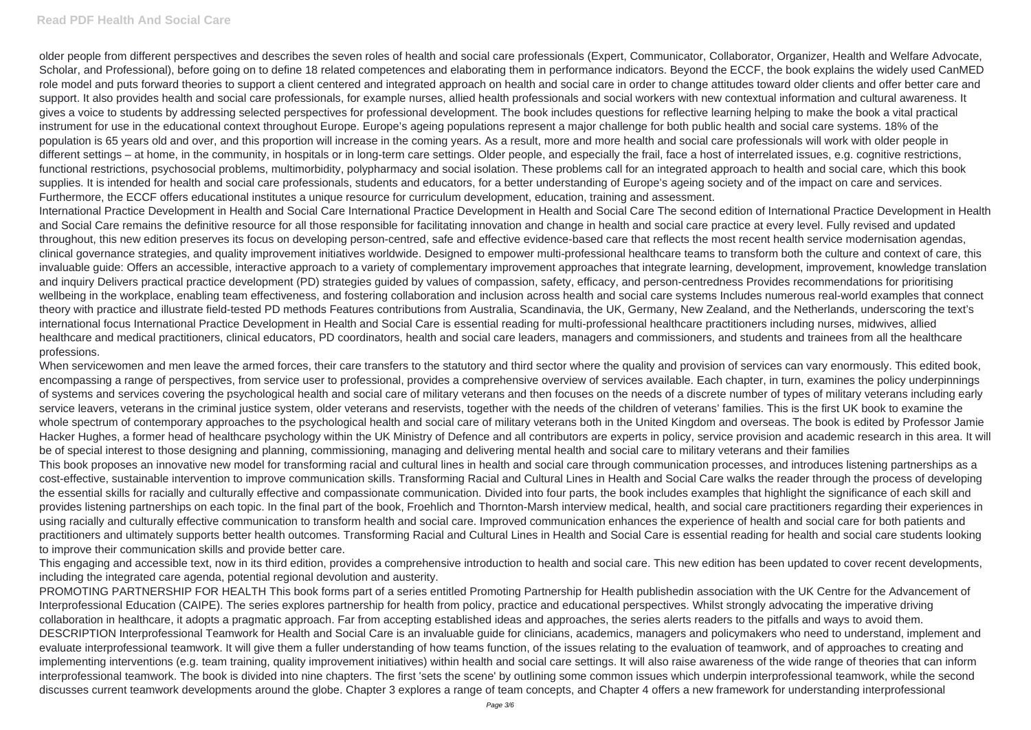older people from different perspectives and describes the seven roles of health and social care professionals (Expert, Communicator, Collaborator, Organizer, Health and Welfare Advocate, Scholar, and Professional), before going on to define 18 related competences and elaborating them in performance indicators. Beyond the ECCF, the book explains the widely used CanMED role model and puts forward theories to support a client centered and integrated approach on health and social care in order to change attitudes toward older clients and offer better care and support. It also provides health and social care professionals, for example nurses, allied health professionals and social workers with new contextual information and cultural awareness. It gives a voice to students by addressing selected perspectives for professional development. The book includes questions for reflective learning helping to make the book a vital practical instrument for use in the educational context throughout Europe. Europe's ageing populations represent a major challenge for both public health and social care systems. 18% of the population is 65 years old and over, and this proportion will increase in the coming years. As a result, more and more health and social care professionals will work with older people in different settings – at home, in the community, in hospitals or in long-term care settings. Older people, and especially the frail, face a host of interrelated issues, e.g. cognitive restrictions, functional restrictions, psychosocial problems, multimorbidity, polypharmacy and social isolation. These problems call for an integrated approach to health and social care, which this book supplies. It is intended for health and social care professionals, students and educators, for a better understanding of Europe's ageing society and of the impact on care and services. Furthermore, the ECCF offers educational institutes a unique resource for curriculum development, education, training and assessment.

International Practice Development in Health and Social Care International Practice Development in Health and Social Care The second edition of International Practice Development in Health and Social Care remains the definitive resource for all those responsible for facilitating innovation and change in health and social care practice at every level. Fully revised and updated throughout, this new edition preserves its focus on developing person-centred, safe and effective evidence-based care that reflects the most recent health service modernisation agendas, clinical governance strategies, and quality improvement initiatives worldwide. Designed to empower multi-professional healthcare teams to transform both the culture and context of care, this invaluable guide: Offers an accessible, interactive approach to a variety of complementary improvement approaches that integrate learning, development, improvement, knowledge translation and inquiry Delivers practical practice development (PD) strategies guided by values of compassion, safety, efficacy, and person-centredness Provides recommendations for prioritising wellbeing in the workplace, enabling team effectiveness, and fostering collaboration and inclusion across health and social care systems Includes numerous real-world examples that connect theory with practice and illustrate field-tested PD methods Features contributions from Australia, Scandinavia, the UK, Germany, New Zealand, and the Netherlands, underscoring the text's international focus International Practice Development in Health and Social Care is essential reading for multi-professional healthcare practitioners including nurses, midwives, allied healthcare and medical practitioners, clinical educators, PD coordinators, health and social care leaders, managers and commissioners, and students and trainees from all the healthcare professions.

When servicewomen and men leave the armed forces, their care transfers to the statutory and third sector where the quality and provision of services can vary enormously. This edited book, encompassing a range of perspectives, from service user to professional, provides a comprehensive overview of services available. Each chapter, in turn, examines the policy underpinnings of systems and services covering the psychological health and social care of military veterans and then focuses on the needs of a discrete number of types of military veterans including early service leavers, veterans in the criminal justice system, older veterans and reservists, together with the needs of the children of veterans' families. This is the first UK book to examine the whole spectrum of contemporary approaches to the psychological health and social care of military veterans both in the United Kingdom and overseas. The book is edited by Professor Jamie Hacker Hughes, a former head of healthcare psychology within the UK Ministry of Defence and all contributors are experts in policy, service provision and academic research in this area. It will be of special interest to those designing and planning, commissioning, managing and delivering mental health and social care to military veterans and their families This book proposes an innovative new model for transforming racial and cultural lines in health and social care through communication processes, and introduces listening partnerships as a cost-effective, sustainable intervention to improve communication skills. Transforming Racial and Cultural Lines in Health and Social Care walks the reader through the process of developing the essential skills for racially and culturally effective and compassionate communication. Divided into four parts, the book includes examples that highlight the significance of each skill and provides listening partnerships on each topic. In the final part of the book, Froehlich and Thornton-Marsh interview medical, health, and social care practitioners regarding their experiences in using racially and culturally effective communication to transform health and social care. Improved communication enhances the experience of health and social care for both patients and practitioners and ultimately supports better health outcomes. Transforming Racial and Cultural Lines in Health and Social Care is essential reading for health and social care students looking to improve their communication skills and provide better care.

This engaging and accessible text, now in its third edition, provides a comprehensive introduction to health and social care. This new edition has been updated to cover recent developments, including the integrated care agenda, potential regional devolution and austerity.

PROMOTING PARTNERSHIP FOR HEALTH This book forms part of a series entitled Promoting Partnership for Health publishedin association with the UK Centre for the Advancement of Interprofessional Education (CAIPE). The series explores partnership for health from policy, practice and educational perspectives. Whilst strongly advocating the imperative driving collaboration in healthcare, it adopts a pragmatic approach. Far from accepting established ideas and approaches, the series alerts readers to the pitfalls and ways to avoid them. DESCRIPTION Interprofessional Teamwork for Health and Social Care is an invaluable guide for clinicians, academics, managers and policymakers who need to understand, implement and evaluate interprofessional teamwork. It will give them a fuller understanding of how teams function, of the issues relating to the evaluation of teamwork, and of approaches to creating and implementing interventions (e.g. team training, quality improvement initiatives) within health and social care settings. It will also raise awareness of the wide range of theories that can inform interprofessional teamwork. The book is divided into nine chapters. The first 'sets the scene' by outlining some common issues which underpin interprofessional teamwork, while the second discusses current teamwork developments around the globe. Chapter 3 explores a range of team concepts, and Chapter 4 offers a new framework for understanding interprofessional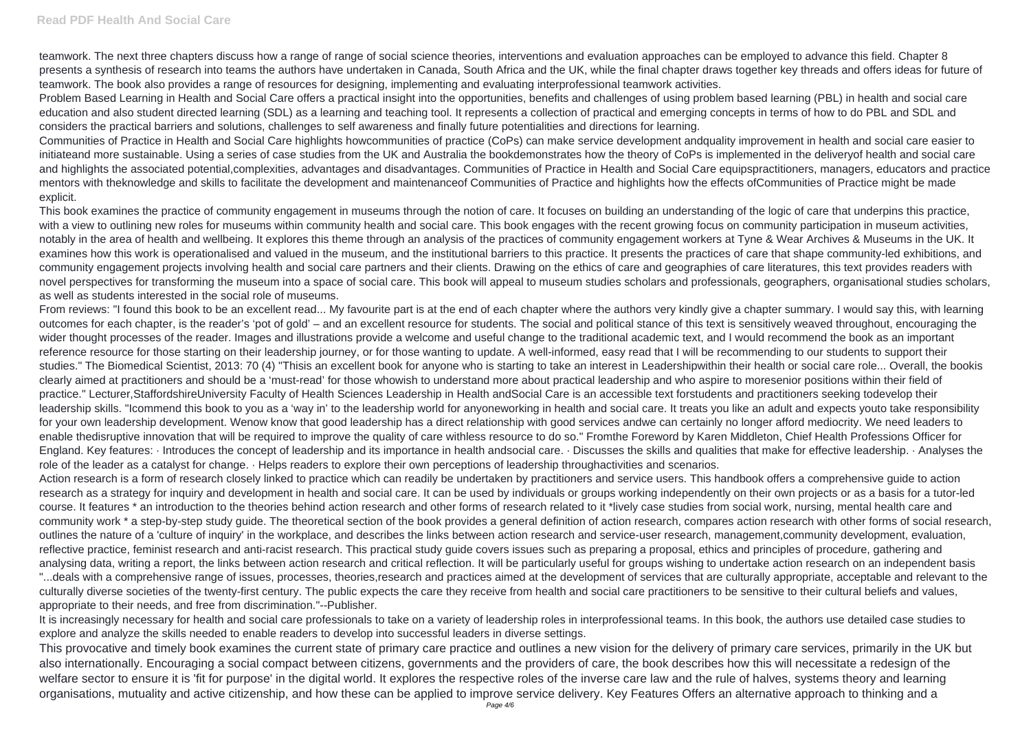teamwork. The next three chapters discuss how a range of range of social science theories, interventions and evaluation approaches can be employed to advance this field. Chapter 8 presents a synthesis of research into teams the authors have undertaken in Canada, South Africa and the UK, while the final chapter draws together key threads and offers ideas for future of teamwork. The book also provides a range of resources for designing, implementing and evaluating interprofessional teamwork activities.

Problem Based Learning in Health and Social Care offers a practical insight into the opportunities, benefits and challenges of using problem based learning (PBL) in health and social care education and also student directed learning (SDL) as a learning and teaching tool. It represents a collection of practical and emerging concepts in terms of how to do PBL and SDL and considers the practical barriers and solutions, challenges to self awareness and finally future potentialities and directions for learning.

Communities of Practice in Health and Social Care highlights howcommunities of practice (CoPs) can make service development andquality improvement in health and social care easier to initiateand more sustainable. Using a series of case studies from the UK and Australia the bookdemonstrates how the theory of CoPs is implemented in the deliveryof health and social care and highlights the associated potential,complexities, advantages and disadvantages. Communities of Practice in Health and Social Care equipspractitioners, managers, educators and practice mentors with theknowledge and skills to facilitate the development and maintenanceof Communities of Practice and highlights how the effects ofCommunities of Practice might be made explicit.

This book examines the practice of community engagement in museums through the notion of care. It focuses on building an understanding of the logic of care that underpins this practice, with a view to outlining new roles for museums within community health and social care. This book engages with the recent growing focus on community participation in museum activities, notably in the area of health and wellbeing. It explores this theme through an analysis of the practices of community engagement workers at Tyne & Wear Archives & Museums in the UK. It examines how this work is operationalised and valued in the museum, and the institutional barriers to this practice. It presents the practices of care that shape community-led exhibitions, and community engagement projects involving health and social care partners and their clients. Drawing on the ethics of care and geographies of care literatures, this text provides readers with novel perspectives for transforming the museum into a space of social care. This book will appeal to museum studies scholars and professionals, geographers, organisational studies scholars, as well as students interested in the social role of museums.

Action research is a form of research closely linked to practice which can readily be undertaken by practitioners and service users. This handbook offers a comprehensive quide to action research as a strategy for inquiry and development in health and social care. It can be used by individuals or groups working independently on their own projects or as a basis for a tutor-led course. It features \* an introduction to the theories behind action research and other forms of research related to it \*lively case studies from social work, nursing, mental health care and community work \* a step-by-step study guide. The theoretical section of the book provides a general definition of action research, compares action research with other forms of social research, outlines the nature of a 'culture of inquiry' in the workplace, and describes the links between action research and service-user research, management,community development, evaluation, reflective practice, feminist research and anti-racist research. This practical study guide covers issues such as preparing a proposal, ethics and principles of procedure, gathering and analysing data, writing a report, the links between action research and critical reflection. It will be particularly useful for groups wishing to undertake action research on an independent basis "...deals with a comprehensive range of issues, processes, theories,research and practices aimed at the development of services that are culturally appropriate, acceptable and relevant to the culturally diverse societies of the twenty-first century. The public expects the care they receive from health and social care practitioners to be sensitive to their cultural beliefs and values, appropriate to their needs, and free from discrimination."--Publisher.

From reviews: "I found this book to be an excellent read... My favourite part is at the end of each chapter where the authors very kindly give a chapter summary. I would say this, with learning outcomes for each chapter, is the reader's 'pot of gold' – and an excellent resource for students. The social and political stance of this text is sensitively weaved throughout, encouraging the wider thought processes of the reader. Images and illustrations provide a welcome and useful change to the traditional academic text, and I would recommend the book as an important reference resource for those starting on their leadership journey, or for those wanting to update. A well-informed, easy read that I will be recommending to our students to support their studies." The Biomedical Scientist, 2013: 70 (4) "Thisis an excellent book for anyone who is starting to take an interest in Leadershipwithin their health or social care role... Overall, the bookis clearly aimed at practitioners and should be a 'must-read' for those whowish to understand more about practical leadership and who aspire to moresenior positions within their field of practice." Lecturer,StaffordshireUniversity Faculty of Health Sciences Leadership in Health andSocial Care is an accessible text forstudents and practitioners seeking todevelop their leadership skills. "Icommend this book to you as a 'way in' to the leadership world for anyoneworking in health and social care. It treats you like an adult and expects youto take responsibility for your own leadership development. Wenow know that good leadership has a direct relationship with good services andwe can certainly no longer afford mediocrity. We need leaders to enable thedisruptive innovation that will be required to improve the quality of care withless resource to do so." Fromthe Foreword by Karen Middleton, Chief Health Professions Officer for England. Key features: · Introduces the concept of leadership and its importance in health andsocial care. · Discusses the skills and qualities that make for effective leadership. · Analyses the role of the leader as a catalyst for change. · Helps readers to explore their own perceptions of leadership throughactivities and scenarios.

It is increasingly necessary for health and social care professionals to take on a variety of leadership roles in interprofessional teams. In this book, the authors use detailed case studies to explore and analyze the skills needed to enable readers to develop into successful leaders in diverse settings.

This provocative and timely book examines the current state of primary care practice and outlines a new vision for the delivery of primary care services, primarily in the UK but also internationally. Encouraging a social compact between citizens, governments and the providers of care, the book describes how this will necessitate a redesign of the welfare sector to ensure it is 'fit for purpose' in the digital world. It explores the respective roles of the inverse care law and the rule of halves, systems theory and learning organisations, mutuality and active citizenship, and how these can be applied to improve service delivery. Key Features Offers an alternative approach to thinking and a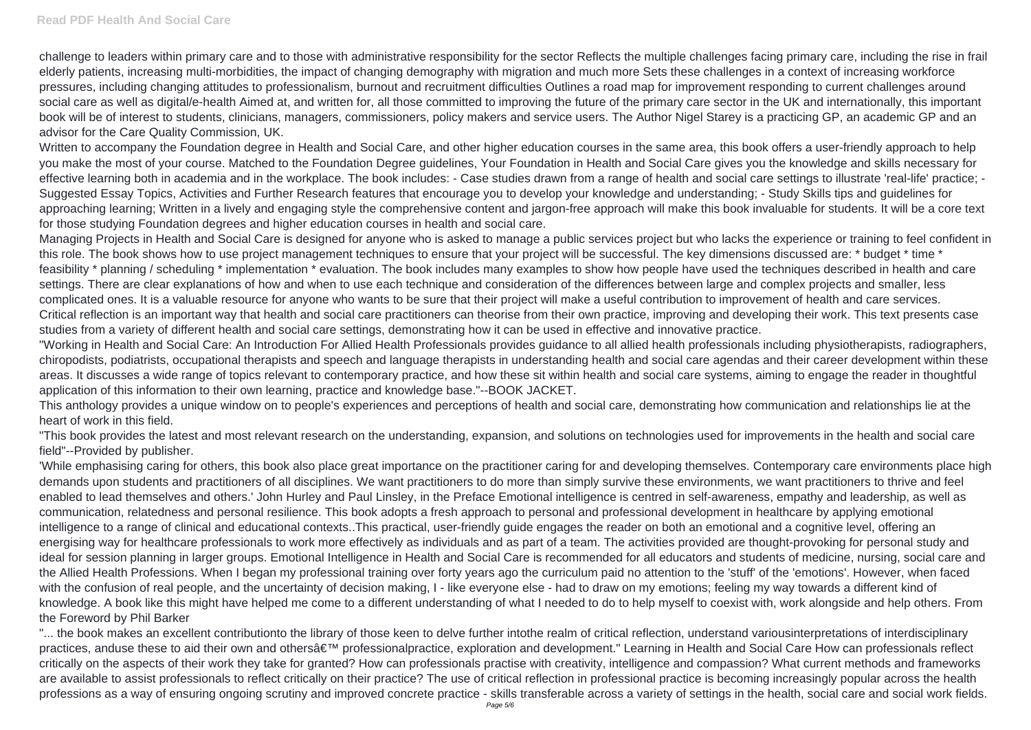challenge to leaders within primary care and to those with administrative responsibility for the sector Reflects the multiple challenges facing primary care, including the rise in frail elderly patients, increasing multi-morbidities, the impact of changing demography with migration and much more Sets these challenges in a context of increasing workforce pressures, including changing attitudes to professionalism, burnout and recruitment difficulties Outlines a road map for improvement responding to current challenges around social care as well as digital/e-health Aimed at, and written for, all those committed to improving the future of the primary care sector in the UK and internationally, this important book will be of interest to students, clinicians, managers, commissioners, policy makers and service users. The Author Nigel Starey is a practicing GP, an academic GP and an advisor for the Care Quality Commission, UK.

Written to accompany the Foundation degree in Health and Social Care, and other higher education courses in the same area, this book offers a user-friendly approach to help you make the most of your course. Matched to the Foundation Degree guidelines, Your Foundation in Health and Social Care gives you the knowledge and skills necessary for effective learning both in academia and in the workplace. The book includes: - Case studies drawn from a range of health and social care settings to illustrate 'real-life' practice; - Suggested Essay Topics, Activities and Further Research features that encourage you to develop your knowledge and understanding; - Study Skills tips and guidelines for approaching learning; Written in a lively and engaging style the comprehensive content and jargon-free approach will make this book invaluable for students. It will be a core text for those studying Foundation degrees and higher education courses in health and social care.

Managing Projects in Health and Social Care is designed for anyone who is asked to manage a public services project but who lacks the experience or training to feel confident in this role. The book shows how to use project management techniques to ensure that your project will be successful. The key dimensions discussed are: \* budget \* time \* feasibility \* planning / scheduling \* implementation \* evaluation. The book includes many examples to show how people have used the techniques described in health and care settings. There are clear explanations of how and when to use each technique and consideration of the differences between large and complex projects and smaller, less complicated ones. It is a valuable resource for anyone who wants to be sure that their project will make a useful contribution to improvement of health and care services. Critical reflection is an important way that health and social care practitioners can theorise from their own practice, improving and developing their work. This text presents case studies from a variety of different health and social care settings, demonstrating how it can be used in effective and innovative practice.

"... the book makes an excellent contributionto the library of those keen to delve further intothe realm of critical reflection, understand variousinterpretations of interdisciplinary practices, anduse these to aid their own and others' professionalpractice, exploration and development." Learning in Health and Social Care How can professionals reflect critically on the aspects of their work they take for granted? How can professionals practise with creativity, intelligence and compassion? What current methods and frameworks are available to assist professionals to reflect critically on their practice? The use of critical reflection in professional practice is becoming increasingly popular across the health professions as a way of ensuring ongoing scrutiny and improved concrete practice - skills transferable across a variety of settings in the health, social care and social work fields.

"Working in Health and Social Care: An Introduction For Allied Health Professionals provides guidance to all allied health professionals including physiotherapists, radiographers, chiropodists, podiatrists, occupational therapists and speech and language therapists in understanding health and social care agendas and their career development within these areas. It discusses a wide range of topics relevant to contemporary practice, and how these sit within health and social care systems, aiming to engage the reader in thoughtful application of this information to their own learning, practice and knowledge base."--BOOK JACKET.

This anthology provides a unique window on to people's experiences and perceptions of health and social care, demonstrating how communication and relationships lie at the heart of work in this field.

"This book provides the latest and most relevant research on the understanding, expansion, and solutions on technologies used for improvements in the health and social care field"--Provided by publisher.

'While emphasising caring for others, this book also place great importance on the practitioner caring for and developing themselves. Contemporary care environments place high demands upon students and practitioners of all disciplines. We want practitioners to do more than simply survive these environments, we want practitioners to thrive and feel enabled to lead themselves and others.' John Hurley and Paul Linsley, in the Preface Emotional intelligence is centred in self-awareness, empathy and leadership, as well as communication, relatedness and personal resilience. This book adopts a fresh approach to personal and professional development in healthcare by applying emotional intelligence to a range of clinical and educational contexts..This practical, user-friendly guide engages the reader on both an emotional and a cognitive level, offering an energising way for healthcare professionals to work more effectively as individuals and as part of a team. The activities provided are thought-provoking for personal study and ideal for session planning in larger groups. Emotional Intelligence in Health and Social Care is recommended for all educators and students of medicine, nursing, social care and the Allied Health Professions. When I began my professional training over forty years ago the curriculum paid no attention to the 'stuff' of the 'emotions'. However, when faced with the confusion of real people, and the uncertainty of decision making, I - like everyone else - had to draw on my emotions; feeling my way towards a different kind of knowledge. A book like this might have helped me come to a different understanding of what I needed to do to help myself to coexist with, work alongside and help others. From the Foreword by Phil Barker